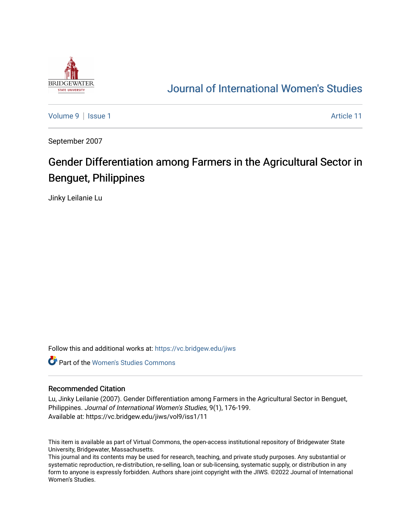

## [Journal of International Women's Studies](https://vc.bridgew.edu/jiws)

[Volume 9](https://vc.bridgew.edu/jiws/vol9) | [Issue 1](https://vc.bridgew.edu/jiws/vol9/iss1) Article 11

September 2007

# Gender Differentiation among Farmers in the Agricultural Sector in Benguet, Philippines

Jinky Leilanie Lu

Follow this and additional works at: [https://vc.bridgew.edu/jiws](https://vc.bridgew.edu/jiws?utm_source=vc.bridgew.edu%2Fjiws%2Fvol9%2Fiss1%2F11&utm_medium=PDF&utm_campaign=PDFCoverPages)

**C** Part of the Women's Studies Commons

#### Recommended Citation

Lu, Jinky Leilanie (2007). Gender Differentiation among Farmers in the Agricultural Sector in Benguet, Philippines. Journal of International Women's Studies, 9(1), 176-199. Available at: https://vc.bridgew.edu/jiws/vol9/iss1/11

This item is available as part of Virtual Commons, the open-access institutional repository of Bridgewater State University, Bridgewater, Massachusetts.

This journal and its contents may be used for research, teaching, and private study purposes. Any substantial or systematic reproduction, re-distribution, re-selling, loan or sub-licensing, systematic supply, or distribution in any form to anyone is expressly forbidden. Authors share joint copyright with the JIWS. ©2022 Journal of International Women's Studies.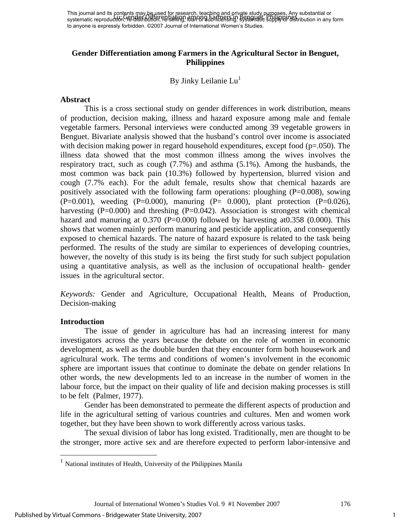## **Gender Differentiation among Farmers in the Agricultural Sector in Benguet, Philippines**

By Jinky Leilanie Lu<sup>1</sup>

#### **Abstract**

This is a cross sectional study on gender differences in work distribution, means of production, decision making, illness and hazard exposure among male and female vegetable farmers. Personal interviews were conducted among 39 vegetable growers in Benguet. Bivariate analysis showed that the husband's control over income is associated with decision making power in regard household expenditures, except food  $(p=.050)$ . The illness data showed that the most common illness among the wives involves the respiratory tract, such as cough (7.7%) and asthma (5.1%). Among the husbands, the most common was back pain (10.3%) followed by hypertension, blurred vision and cough (7.7% each). For the adult female, results show that chemical hazards are positively associated with the following farm operations: ploughing  $(P=0.008)$ , sowing  $(P=0.001)$ , weeding  $(P=0.000)$ , manuring  $(P= 0.000)$ , plant protection  $(P=0.026)$ , harvesting  $(P=0.000)$  and threshing  $(P=0.042)$ . Association is strongest with chemical hazard and manuring at  $0.370$  (P=0.000) followed by harvesting at  $0.358$  (0.000). This shows that women mainly perform manuring and pesticide application, and consequently exposed to chemical hazards. The nature of hazard exposure is related to the task being performed. The results of the study are similar to experiences of developing countries, however, the novelty of this study is its being the first study for such subject population using a quantitative analysis, as well as the inclusion of occupational health- gender issues in the agricultural sector.

*Keywords:* Gender and Agriculture, Occupational Health, Means of Production, Decision-making

## **Introduction**

1

 The issue of gender in agriculture has had an increasing interest for many investigators across the years because the debate on the role of women in economic development, as well as the double burden that they encounter form both housework and agricultural work. The terms and conditions of women's involvement in the economic sphere are important issues that continue to dominate the debate on gender relations In other words, the new developments led to an increase in the number of women in the labour force, but the impact on their quality of life and decision making processes is still to be felt (Palmer, 1977).

Gender has been demonstrated to permeate the different aspects of production and life in the agricultural setting of various countries and cultures. Men and women work together, but they have been shown to work differently across various tasks.

The sexual division of labor has long existed. Traditionally, men are thought to be the stronger, more active sex and are therefore expected to perform labor-intensive and

Journal of International Women's Studies Vol. 9 #1 November 2007 176

<sup>1</sup> National institutes of Health, University of the Philippines Manila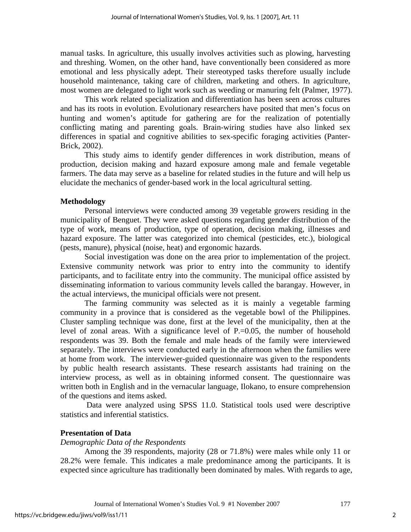manual tasks. In agriculture, this usually involves activities such as plowing, harvesting and threshing. Women, on the other hand, have conventionally been considered as more emotional and less physically adept. Their stereotyped tasks therefore usually include household maintenance, taking care of children, marketing and others. In agriculture, most women are delegated to light work such as weeding or manuring felt (Palmer, 1977).

This work related specialization and differentiation has been seen across cultures and has its roots in evolution. Evolutionary researchers have posited that men's focus on hunting and women's aptitude for gathering are for the realization of potentially conflicting mating and parenting goals. Brain-wiring studies have also linked sex differences in spatial and cognitive abilities to sex-specific foraging activities (Panter-Brick, 2002).

This study aims to identify gender differences in work distribution, means of production, decision making and hazard exposure among male and female vegetable farmers. The data may serve as a baseline for related studies in the future and will help us elucidate the mechanics of gender-based work in the local agricultural setting.

#### **Methodology**

 Personal interviews were conducted among 39 vegetable growers residing in the municipality of Benguet. They were asked questions regarding gender distribution of the type of work, means of production, type of operation, decision making, illnesses and hazard exposure. The latter was categorized into chemical (pesticides, etc.), biological (pests, manure), physical (noise, heat) and ergonomic hazards.

Social investigation was done on the area prior to implementation of the project. Extensive community network was prior to entry into the community to identify participants, and to facilitate entry into the community. The municipal office assisted by disseminating information to various community levels called the barangay. However, in the actual interviews, the municipal officials were not present.

The farming community was selected as it is mainly a vegetable farming community in a province that is considered as the vegetable bowl of the Philippines. Cluster sampling technique was done, first at the level of the municipality, then at the level of zonal areas. With a significance level of P.=0.05, the number of household respondents was 39. Both the female and male heads of the family were interviewed separately. The interviews were conducted early in the afternoon when the families were at home from work. The interviewer-guided questionnaire was given to the respondents by public health research assistants. These research assistants had training on the interview process, as well as in obtaining informed consent. The questionnaire was written both in English and in the vernacular language, Ilokano, to ensure comprehension of the questions and items asked.

 Data were analyzed using SPSS 11.0. Statistical tools used were descriptive statistics and inferential statistics.

## **Presentation of Data**

*Demographic Data of the Respondents* 

Among the 39 respondents, majority (28 or 71.8%) were males while only 11 or 28.2% were female. This indicates a male predominance among the participants. It is expected since agriculture has traditionally been dominated by males. With regards to age,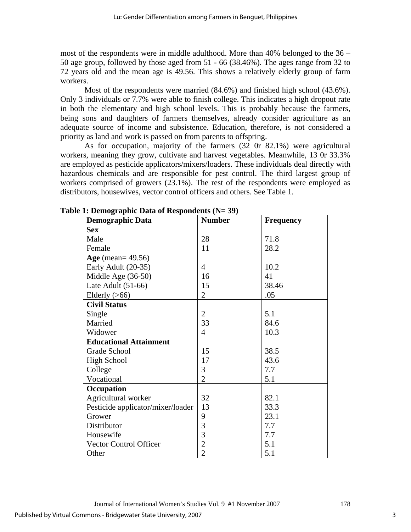most of the respondents were in middle adulthood. More than 40% belonged to the 36 – 50 age group, followed by those aged from 51 - 66 (38.46%). The ages range from 32 to 72 years old and the mean age is 49.56. This shows a relatively elderly group of farm workers.

 Most of the respondents were married (84.6%) and finished high school (43.6%). Only 3 individuals or 7.7% were able to finish college. This indicates a high dropout rate in both the elementary and high school levels. This is probably because the farmers, being sons and daughters of farmers themselves, already consider agriculture as an adequate source of income and subsistence. Education, therefore, is not considered a priority as land and work is passed on from parents to offspring.

 As for occupation, majority of the farmers (32 0r 82.1%) were agricultural workers, meaning they grow, cultivate and harvest vegetables. Meanwhile, 13 0r 33.3% are employed as pesticide applicators/mixers/loaders. These individuals deal directly with hazardous chemicals and are responsible for pest control. The third largest group of workers comprised of growers (23.1%). The rest of the respondents were employed as distributors, housewives, vector control officers and others. See Table 1.

| $\sim$ contour whence $\sim$ and $\sim$ are sponded to $\sim$<br><b>Demographic Data</b> | <b>Number</b>  | <b>Frequency</b> |
|------------------------------------------------------------------------------------------|----------------|------------------|
| <b>Sex</b>                                                                               |                |                  |
| Male                                                                                     | 28             | 71.8             |
| Female                                                                                   | 11             | 28.2             |
| Age (mean= $49.56$ )                                                                     |                |                  |
| Early Adult (20-35)                                                                      | $\overline{4}$ | 10.2             |
| Middle Age (36-50)                                                                       | 16             | 41               |
| Late Adult $(51-66)$                                                                     | 15             | 38.46            |
| Elderly $($ >66)                                                                         | $\overline{2}$ | .05              |
| <b>Civil Status</b>                                                                      |                |                  |
| Single                                                                                   | $\overline{2}$ | 5.1              |
| Married                                                                                  | 33             | 84.6             |
| Widower                                                                                  | 4              | 10.3             |
| <b>Educational Attainment</b>                                                            |                |                  |
| Grade School                                                                             | 15             | 38.5             |
| <b>High School</b>                                                                       | 17             | 43.6             |
| College                                                                                  | 3              | 7.7              |
| Vocational                                                                               | $\overline{2}$ | 5.1              |
| Occupation                                                                               |                |                  |
| Agricultural worker                                                                      | 32             | 82.1             |
| Pesticide applicator/mixer/loader                                                        | 13             | 33.3             |
| Grower                                                                                   | 9              | 23.1             |
| Distributor                                                                              | 3              | 7.7              |
| Housewife                                                                                | 3              | 7.7              |
| <b>Vector Control Officer</b>                                                            | $\overline{2}$ | 5.1              |
| Other                                                                                    | $\overline{2}$ | 5.1              |

#### **Table 1: Demographic Data of Respondents (N= 39)**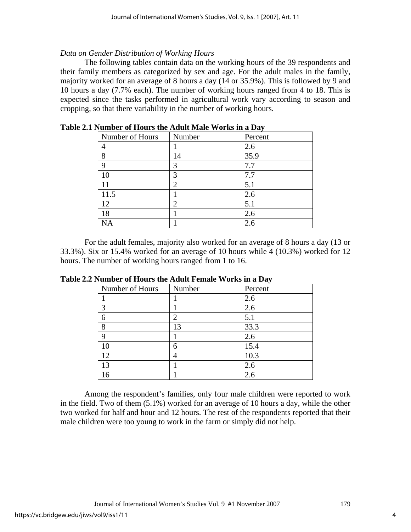## *Data on Gender Distribution of Working Hours*

 The following tables contain data on the working hours of the 39 respondents and their family members as categorized by sex and age. For the adult males in the family, majority worked for an average of 8 hours a day (14 or 35.9%). This is followed by 9 and 10 hours a day (7.7% each). The number of working hours ranged from 4 to 18. This is expected since the tasks performed in agricultural work vary according to season and cropping, so that there variability in the number of working hours.

| Number of Hours | Number         | ີ້<br>Percent |
|-----------------|----------------|---------------|
|                 |                | 2.6           |
| 8               | 14             | 35.9          |
| 9               | 3              | 7.7           |
|                 | 3              | 7.7           |
|                 | $\overline{2}$ | 5.1           |
| 11.5            |                | 2.6           |
| 12              | ി              | 5.1           |
| 18              |                | 2.6           |
| NΑ              |                | 2.6           |

**Table 2.1 Number of Hours the Adult Male Works in a Day** 

 For the adult females, majority also worked for an average of 8 hours a day (13 or 33.3%). Six or 15.4% worked for an average of 10 hours while 4 (10.3%) worked for 12 hours. The number of working hours ranged from 1 to 16.

| whose of Hours the Hutter Female works in a Day |                |         |  |  |  |  |
|-------------------------------------------------|----------------|---------|--|--|--|--|
| Number of Hours                                 | Number         | Percent |  |  |  |  |
|                                                 |                | 2.6     |  |  |  |  |
| 3                                               |                | 2.6     |  |  |  |  |
| 6                                               | $\overline{2}$ | 5.1     |  |  |  |  |
| 8                                               | 13             | 33.3    |  |  |  |  |
| 9                                               |                | 2.6     |  |  |  |  |
| 10                                              | 6              | 15.4    |  |  |  |  |
| 12                                              | 4              | 10.3    |  |  |  |  |
| 13                                              |                | 2.6     |  |  |  |  |
|                                                 |                | 2.6     |  |  |  |  |

**Table 2.2 Number of Hours the Adult Female Works in a Day** 

 Among the respondent's families, only four male children were reported to work in the field. Two of them (5.1%) worked for an average of 10 hours a day, while the other two worked for half and hour and 12 hours. The rest of the respondents reported that their male children were too young to work in the farm or simply did not help.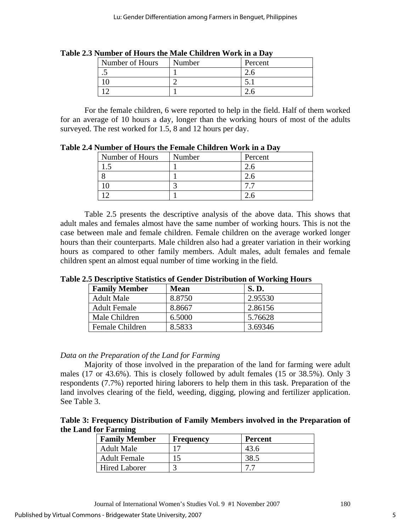| Number of Hours      | Number | Percent |
|----------------------|--------|---------|
| $\ddot{\phantom{0}}$ |        |         |
|                      |        |         |
|                      |        |         |

**Table 2.3 Number of Hours the Male Children Work in a Day** 

 For the female children, 6 were reported to help in the field. Half of them worked for an average of 10 hours a day, longer than the working hours of most of the adults surveyed. The rest worked for 1.5, 8 and 12 hours per day.

|                 | гання от пошу по гонщо оппатон того на ват |         |  |  |  |  |  |
|-----------------|--------------------------------------------|---------|--|--|--|--|--|
| Number of Hours | Number                                     | Percent |  |  |  |  |  |
|                 |                                            |         |  |  |  |  |  |
|                 |                                            |         |  |  |  |  |  |
|                 |                                            |         |  |  |  |  |  |
|                 |                                            |         |  |  |  |  |  |

**Table 2.4 Number of Hours the Female Children Work in a Day** 

 Table 2.5 presents the descriptive analysis of the above data. This shows that adult males and females almost have the same number of working hours. This is not the case between male and female children. Female children on the average worked longer hours than their counterparts. Male children also had a greater variation in their working hours as compared to other family members. Adult males, adult females and female children spent an almost equal number of time working in the field.

## **Table 2.5 Descriptive Statistics of Gender Distribution of Working Hours**

| <b>Family Member</b> | <b>Mean</b> | <b>S.D.</b> |
|----------------------|-------------|-------------|
| <b>Adult Male</b>    | 8.8750      | 2.95530     |
| <b>Adult Female</b>  | 8.8667      | 2.86156     |
| Male Children        | 6.5000      | 5.76628     |
| Female Children      | 8.5833      | 3.69346     |

## *Data on the Preparation of the Land for Farming*

 Majority of those involved in the preparation of the land for farming were adult males (17 or 43.6%). This is closely followed by adult females (15 or 38.5%). Only 3 respondents (7.7%) reported hiring laborers to help them in this task. Preparation of the land involves clearing of the field, weeding, digging, plowing and fertilizer application. See Table 3.

**Table 3: Frequency Distribution of Family Members involved in the Preparation of the Land for Farming** 

| <b>Family Member</b> | <b>Frequency</b> | <b>Percent</b> |
|----------------------|------------------|----------------|
| <b>Adult Male</b>    |                  | 43.6           |
| <b>Adult Female</b>  |                  | 38.5           |
| <b>Hired Laborer</b> |                  |                |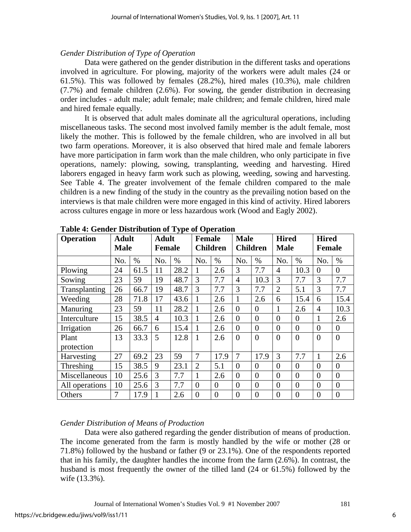## *Gender Distribution of Type of Operation*

 Data were gathered on the gender distribution in the different tasks and operations involved in agriculture. For plowing, majority of the workers were adult males (24 or 61.5%). This was followed by females (28.2%), hired males (10.3%), male children (7.7%) and female children (2.6%). For sowing, the gender distribution in decreasing order includes - adult male; adult female; male children; and female children, hired male and hired female equally.

It is observed that adult males dominate all the agricultural operations, including miscellaneous tasks. The second most involved family member is the adult female, most likely the mother. This is followed by the female children, who are involved in all but two farm operations. Moreover, it is also observed that hired male and female laborers have more participation in farm work than the male children, who only participate in five operations, namely: plowing, sowing, transplanting, weeding and harvesting. Hired laborers engaged in heavy farm work such as plowing, weeding, sowing and harvesting. See Table 4. The greater involvement of the female children compared to the male children is a new finding of the study in the country as the prevailing notion based on the interviews is that male children were more engaged in this kind of activity. Hired laborers across cultures engage in more or less hazardous work (Wood and Eagly 2002).

| rable to centre Bibliograph of Lype of Operation |                             |      |                               |      |                                  |                |                |                                |                |                             |                |                               |  |
|--------------------------------------------------|-----------------------------|------|-------------------------------|------|----------------------------------|----------------|----------------|--------------------------------|----------------|-----------------------------|----------------|-------------------------------|--|
| <b>Operation</b>                                 | <b>Adult</b><br><b>Male</b> |      | <b>Adult</b><br><b>Female</b> |      | <b>Female</b><br><b>Children</b> |                |                | <b>Male</b><br><b>Children</b> |                | <b>Hired</b><br><b>Male</b> |                | <b>Hired</b><br><b>Female</b> |  |
|                                                  | No.                         | $\%$ | No.                           | $\%$ | No.                              | $\%$           | No.            | $\%$                           | No.            | $\%$                        | No.            | $\%$                          |  |
| Plowing                                          | 24                          | 61.5 | 11                            | 28.2 |                                  | 2.6            | 3              | 7.7                            | $\overline{4}$ | 10.3                        | $\theta$       | $\overline{0}$                |  |
| Sowing                                           | 23                          | 59   | 19                            | 48.7 | 3                                | 7.7            | $\overline{4}$ | 10.3                           | 3              | 7.7                         | 3              | 7.7                           |  |
| Transplanting                                    | 26                          | 66.7 | 19                            | 48.7 | 3                                | 7.7            | 3              | 7.7                            | $\overline{2}$ | 5.1                         | 3              | 7.7                           |  |
| Weeding                                          | 28                          | 71.8 | 17                            | 43.6 |                                  | 2.6            |                | 2.6                            | 6              | 15.4                        | 6              | 15.4                          |  |
| Manuring                                         | 23                          | 59   | 11                            | 28.2 |                                  | 2.6            | $\theta$       | $\theta$                       |                | 2.6                         | $\overline{4}$ | 10.3                          |  |
| Interculture                                     | 15                          | 38.5 | $\overline{4}$                | 10.3 |                                  | 2.6            | $\theta$       | $\overline{0}$                 | $\theta$       | $\overline{0}$              | 1              | 2.6                           |  |
| Irrigation                                       | 26                          | 66.7 | 6                             | 15.4 | 1                                | 2.6            | $\overline{0}$ | $\overline{0}$                 | $\overline{0}$ | $\overline{0}$              | $\overline{0}$ | $\overline{0}$                |  |
| Plant                                            | 13                          | 33.3 | 5                             | 12.8 | 1                                | 2.6            | $\overline{0}$ | $\overline{0}$                 | $\overline{0}$ | $\overline{0}$              | $\theta$       | $\overline{0}$                |  |
| protection                                       |                             |      |                               |      |                                  |                |                |                                |                |                             |                |                               |  |
| Harvesting                                       | 27                          | 69.2 | 23                            | 59   | 7                                | 17.9           | $\overline{7}$ | 17.9                           | 3              | 7.7                         | 1              | 2.6                           |  |
| Threshing                                        | 15                          | 38.5 | 9                             | 23.1 | $\overline{2}$                   | 5.1            | $\theta$       | $\theta$                       | $\theta$       | $\overline{0}$              | $\overline{0}$ | $\theta$                      |  |
| Miscellaneous                                    | 10                          | 25.6 | 3                             | 7.7  |                                  | 2.6            | $\theta$       | $\overline{0}$                 | $\theta$       | $\overline{0}$              | $\overline{0}$ | $\theta$                      |  |
| All operations                                   | 10                          | 25.6 | 3                             | 7.7  | $\overline{0}$                   | $\theta$       | $\overline{0}$ | $\overline{0}$                 | $\theta$       | $\overline{0}$              | $\theta$       | $\overline{0}$                |  |
| Others                                           | 7                           | 17.9 |                               | 2.6  | $\overline{0}$                   | $\overline{0}$ | $\overline{0}$ | $\overline{0}$                 | $\overline{0}$ | $\overline{0}$              | $\overline{0}$ | $\overline{0}$                |  |

**Table 4: Gender Distribution of Type of Operation** 

## *Gender Distribution of Means of Production*

 Data were also gathered regarding the gender distribution of means of production. The income generated from the farm is mostly handled by the wife or mother (28 or 71.8%) followed by the husband or father (9 or 23.1%). One of the respondents reported that in his family, the daughter handles the income from the farm (2.6%). In contrast, the husband is most frequently the owner of the tilled land (24 or 61.5%) followed by the wife (13.3%).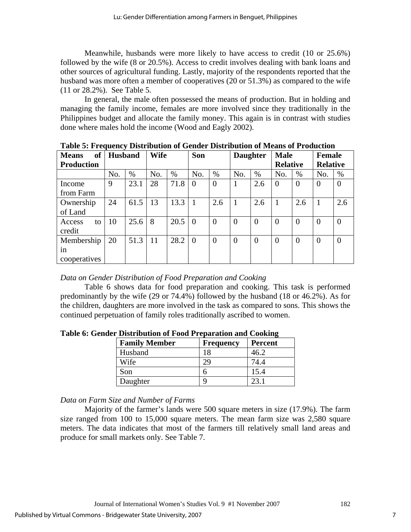Meanwhile, husbands were more likely to have access to credit (10 or 25.6%) followed by the wife (8 or 20.5%). Access to credit involves dealing with bank loans and other sources of agricultural funding. Lastly, majority of the respondents reported that the husband was more often a member of cooperatives (20 or 51.3%) as compared to the wife (11 or 28.2%). See Table 5.

In general, the male often possessed the means of production. But in holding and managing the family income, females are more involved since they traditionally in the Philippines budget and allocate the family money. This again is in contrast with studies done where males hold the income (Wood and Eagly 2002).

| of<br><b>Means</b> | <b>Husband</b> |      | <b>Wife</b> |      | Son            |                |                | <b>Daughter</b> | <b>Male</b>     |                | <b>Female</b>   |                |
|--------------------|----------------|------|-------------|------|----------------|----------------|----------------|-----------------|-----------------|----------------|-----------------|----------------|
| <b>Production</b>  |                |      |             |      |                |                |                |                 | <b>Relative</b> |                | <b>Relative</b> |                |
|                    | No.            | $\%$ | No.         | $\%$ | No.            | $\%$           | No.            | %               | No.             | %              | No.             | $\%$           |
| Income             | 9              | 23.1 | 28          | 71.8 | $\Omega$       | $\theta$       |                | 2.6             | $\overline{0}$  | $\overline{0}$ | $\overline{0}$  | $\theta$       |
| from Farm          |                |      |             |      |                |                |                |                 |                 |                |                 |                |
| Ownership          | 24             | 61.5 | 13          | 13.3 | $\overline{1}$ | 2.6            |                | 2.6             |                 | 2.6            | 1               | 2.6            |
| of Land            |                |      |             |      |                |                |                |                 |                 |                |                 |                |
| Access<br>to       | 10             | 25.6 | 8           | 20.5 | $\Omega$       | $\Omega$       | $\theta$       | $\overline{0}$  | $\overline{0}$  | $\overline{0}$ | $\Omega$        | $\theta$       |
| credit             |                |      |             |      |                |                |                |                 |                 |                |                 |                |
| Membership         | 20             | 51.3 | -11         | 28.2 | $\Omega$       | $\overline{0}$ | $\overline{0}$ | $\overline{0}$  | $\overline{0}$  | $\overline{0}$ | $\overline{0}$  | $\overline{0}$ |
| in                 |                |      |             |      |                |                |                |                 |                 |                |                 |                |
| cooperatives       |                |      |             |      |                |                |                |                 |                 |                |                 |                |

**Table 5: Frequency Distribution of Gender Distribution of Means of Production** 

## *Data on Gender Distribution of Food Preparation and Cooking*

 Table 6 shows data for food preparation and cooking. This task is performed predominantly by the wife (29 or 74.4%) followed by the husband (18 or 46.2%). As for the children, daughters are more involved in the task as compared to sons. This shows the continued perpetuation of family roles traditionally ascribed to women.

| <b>Family Member</b> | <b>Frequency</b> | <b>Percent</b> |
|----------------------|------------------|----------------|
| Husband              |                  |                |
| Wife                 |                  |                |
| Son                  |                  | 15.4           |
| Daughter             |                  |                |

**Table 6: Gender Distribution of Food Preparation and Cooking** 

## *Data on Farm Size and Number of Farms*

 Majority of the farmer's lands were 500 square meters in size (17.9%). The farm size ranged from 100 to 15,000 square meters. The mean farm size was 2,580 square meters. The data indicates that most of the farmers till relatively small land areas and produce for small markets only. See Table 7.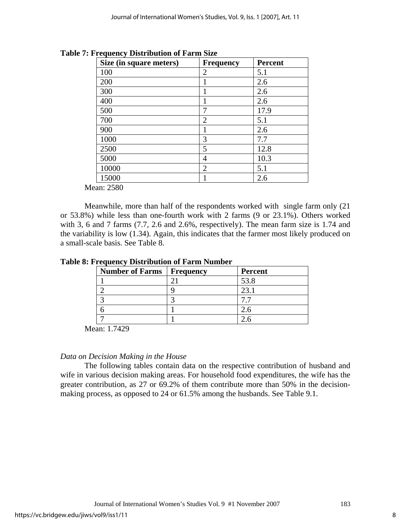| Size (in square meters) | <b>Frequency</b> | <b>Percent</b> |
|-------------------------|------------------|----------------|
| 100                     | $\overline{2}$   | 5.1            |
| 200                     |                  | 2.6            |
| 300                     |                  | 2.6            |
| 400                     |                  | 2.6            |
| 500                     | 7                | 17.9           |
| 700                     | $\overline{2}$   | 5.1            |
| 900                     |                  | 2.6            |
| 1000                    | 3                | 7.7            |
| 2500                    | 5                | 12.8           |
| 5000                    | 4                | 10.3           |
| 10000                   | $\overline{2}$   | 5.1            |
| 15000                   |                  | 2.6            |

**Table 7: Frequency Distribution of Farm Size** 

Mean: 2580

 Meanwhile, more than half of the respondents worked with single farm only (21 or 53.8%) while less than one-fourth work with 2 farms (9 or 23.1%). Others worked with 3, 6 and 7 farms (7.7, 2.6 and 2.6%, respectively). The mean farm size is 1.74 and the variability is low (1.34). Again, this indicates that the farmer most likely produced on a small-scale basis. See Table 8.

|  |  | <b>Table 8: Frequency Distribution of Farm Number</b> |  |  |
|--|--|-------------------------------------------------------|--|--|
|--|--|-------------------------------------------------------|--|--|

| <b>Number of Farms</b> | <b>Frequency</b> | Percent |
|------------------------|------------------|---------|
|                        |                  | 53.8    |
|                        |                  |         |
|                        |                  |         |
|                        |                  |         |
|                        |                  |         |

Mean: 1.7429

## *Data on Decision Making in the House*

 The following tables contain data on the respective contribution of husband and wife in various decision making areas. For household food expenditures, the wife has the greater contribution, as 27 or 69.2% of them contribute more than 50% in the decisionmaking process, as opposed to 24 or 61.5% among the husbands. See Table 9.1.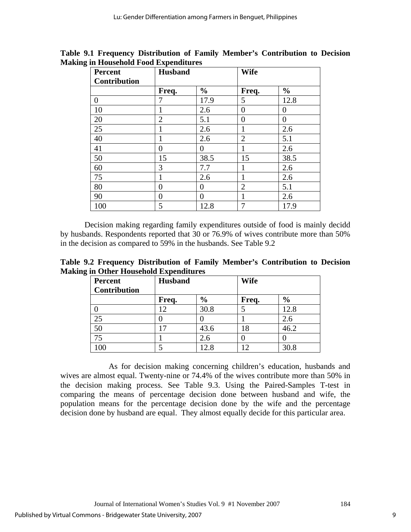| <b>Percent</b>      | <b>Husband</b> |                | <b>Wife</b>    |               |
|---------------------|----------------|----------------|----------------|---------------|
| <b>Contribution</b> |                |                |                |               |
|                     | Freq.          | $\frac{0}{0}$  | Freq.          | $\frac{0}{0}$ |
| $\overline{0}$      | 7              | 17.9           | 5              | 12.8          |
| 10                  |                | 2.6            | $\Omega$       | 0             |
| 20                  | $\overline{2}$ | 5.1            | 0              | 0             |
| 25                  |                | 2.6            |                | 2.6           |
| 40                  |                | 2.6            | $\overline{2}$ | 5.1           |
| 41                  | 0              | 0              | 1              | 2.6           |
| 50                  | 15             | 38.5           | 15             | 38.5          |
| 60                  | 3              | 7.7            |                | 2.6           |
| 75                  |                | 2.6            |                | 2.6           |
| 80                  | 0              | 0              | $\overline{2}$ | 5.1           |
| 90                  | 0              | $\overline{0}$ |                | 2.6           |
| 100                 | 5              | 12.8           |                | 17.9          |

**Table 9.1 Frequency Distribution of Family Member's Contribution to Decision Making in Household Food Expenditures** 

 Decision making regarding family expenditures outside of food is mainly decidd by husbands. Respondents reported that 30 or 76.9% of wives contribute more than 50% in the decision as compared to 59% in the husbands. See Table 9.2

**Table 9.2 Frequency Distribution of Family Member's Contribution to Decision Making in Other Household Expenditures** 

| <b>Percent</b><br><b>Contribution</b> | <b>Husband</b> |               | <b>Wife</b> |               |
|---------------------------------------|----------------|---------------|-------------|---------------|
|                                       | Freq.          | $\frac{6}{9}$ | Freq.       | $\frac{6}{6}$ |
|                                       | 12             | 30.8          |             | 12.8          |
|                                       |                |               |             | 2.6           |
| 50                                    | 17             | 43.6          | 18          | 46.2          |
| 75                                    |                | 2.6           |             |               |
| 00                                    |                |               | ר ו         | 30.8          |

 As for decision making concerning children's education, husbands and wives are almost equal. Twenty-nine or 74.4% of the wives contribute more than 50% in the decision making process. See Table 9.3. Using the Paired-Samples T-test in comparing the means of percentage decision done between husband and wife, the population means for the percentage decision done by the wife and the percentage decision done by husband are equal. They almost equally decide for this particular area.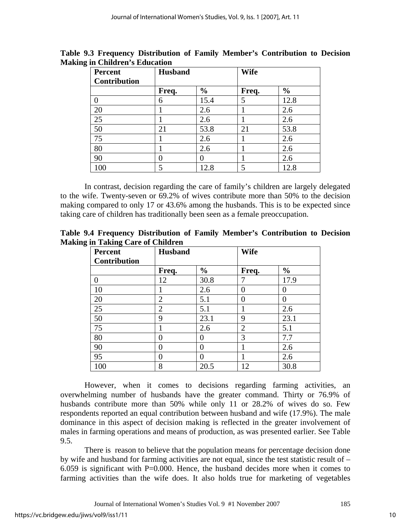| <b>Percent</b><br><b>Contribution</b> | <b>Husband</b> |               | <b>Wife</b> |               |  |
|---------------------------------------|----------------|---------------|-------------|---------------|--|
|                                       | Freq.          | $\frac{6}{6}$ | Freq.       | $\frac{0}{0}$ |  |
| $\theta$                              | 6              | 15.4          | 5           | 12.8          |  |
| 20                                    |                | 2.6           |             | 2.6           |  |
| 25                                    |                | 2.6           |             | 2.6           |  |
| 50                                    | 21             | 53.8          | 21          | 53.8          |  |
| 75                                    |                | 2.6           |             | 2.6           |  |
| 80                                    |                | 2.6           |             | 2.6           |  |
| 90                                    | 0              |               |             | 2.6           |  |
| 100                                   | 5              | 12.8          | 5           | 12.8          |  |

**Table 9.3 Frequency Distribution of Family Member's Contribution to Decision Making in Children's Education** 

 In contrast, decision regarding the care of family's children are largely delegated to the wife. Twenty-seven or 69.2% of wives contribute more than 50% to the decision making compared to only 17 or 43.6% among the husbands. This is to be expected since taking care of children has traditionally been seen as a female preoccupation.

**Table 9.4 Frequency Distribution of Family Member's Contribution to Decision Making in Taking Care of Children** 

| <b>Percent</b><br><b>Contribution</b> | <b>Husband</b> |               | <b>Wife</b>    |                   |
|---------------------------------------|----------------|---------------|----------------|-------------------|
|                                       | Freq.          | $\frac{6}{9}$ | Freq.          | $\frac{0}{0}$     |
| $\overline{0}$                        | 12             | 30.8          |                | 17.9              |
| 10                                    |                | 2.6           | 0              | $\mathbf{\Omega}$ |
| 20                                    | $\overline{2}$ | 5.1           | 0              | 0                 |
| 25                                    | $\overline{2}$ | 5.1           |                | 2.6               |
| 50                                    | 9              | 23.1          | 9              | 23.1              |
| 75                                    |                | 2.6           | $\overline{2}$ | 5.1               |
| 80                                    | 0              | 0             | 3              | 7.7               |
| 90                                    | 0              | 0             |                | 2.6               |
| 95                                    | $\mathbf{0}$   | 0             |                | 2.6               |
| 100                                   | 8              | 20.5          | 12             | 30.8              |

However, when it comes to decisions regarding farming activities, an overwhelming number of husbands have the greater command. Thirty or 76.9% of husbands contribute more than 50% while only 11 or 28.2% of wives do so. Few respondents reported an equal contribution between husband and wife (17.9%). The male dominance in this aspect of decision making is reflected in the greater involvement of males in farming operations and means of production, as was presented earlier. See Table 9.5.

There is reason to believe that the population means for percentage decision done by wife and husband for farming activities are not equal, since the test statistic result of – 6.059 is significant with P=0.000. Hence, the husband decides more when it comes to farming activities than the wife does. It also holds true for marketing of vegetables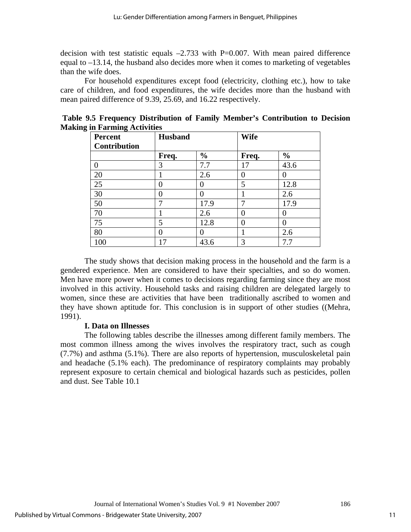decision with test statistic equals  $-2.733$  with P=0.007. With mean paired difference equal to –13.14, the husband also decides more when it comes to marketing of vegetables than the wife does.

For household expenditures except food (electricity, clothing etc.), how to take care of children, and food expenditures, the wife decides more than the husband with mean paired difference of 9.39, 25.69, and 16.22 respectively.

| ∍<br>o<br><b>Percent</b> | <b>Husband</b> |               | <b>Wife</b> |               |
|--------------------------|----------------|---------------|-------------|---------------|
| <b>Contribution</b>      |                |               |             |               |
|                          | Freq.          | $\frac{0}{0}$ | Freq.       | $\frac{0}{0}$ |
|                          | 3              | 7.7           | 17          | 43.6          |
| 20                       |                | 2.6           | 0           |               |
| 25                       |                |               | 5           | 12.8          |
| 30                       |                |               |             | 2.6           |
| 50                       |                | 17.9          |             | 17.9          |
| 70                       |                | 2.6           | 0           |               |
| 75                       | 5              | 12.8          | 0           |               |
| 80                       |                |               |             | 2.6           |
| 100                      | 17             | 43.6          | 3           | 7.7           |

**Table 9.5 Frequency Distribution of Family Member's Contribution to Decision Making in Farming Activities** 

 The study shows that decision making process in the household and the farm is a gendered experience. Men are considered to have their specialties, and so do women. Men have more power when it comes to decisions regarding farming since they are most involved in this activity. Household tasks and raising children are delegated largely to women, since these are activities that have been traditionally ascribed to women and they have shown aptitude for. This conclusion is in support of other studies ((Mehra, 1991).

## **I. Data on Illnesses**

 The following tables describe the illnesses among different family members. The most common illness among the wives involves the respiratory tract, such as cough (7.7%) and asthma (5.1%). There are also reports of hypertension, musculoskeletal pain and headache (5.1% each). The predominance of respiratory complaints may probably represent exposure to certain chemical and biological hazards such as pesticides, pollen and dust. See Table 10.1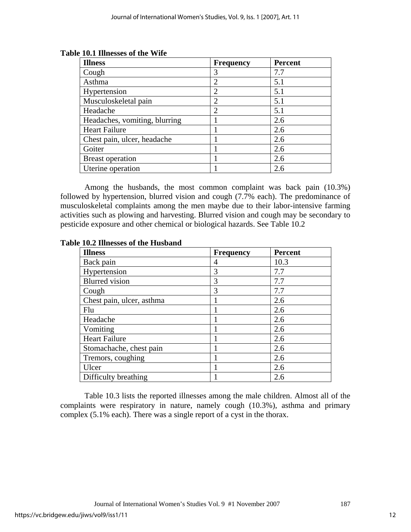| <b>Illness</b>                | <b>Frequency</b> | <b>Percent</b> |
|-------------------------------|------------------|----------------|
| Cough                         | 3                | 7.7            |
| Asthma                        | $\overline{2}$   | 5.1            |
| Hypertension                  | $\overline{2}$   | 5.1            |
| Musculoskeletal pain          | $\overline{2}$   | 5.1            |
| Headache                      | $\overline{2}$   | 5.1            |
| Headaches, vomiting, blurring |                  | 2.6            |
| <b>Heart Failure</b>          |                  | 2.6            |
| Chest pain, ulcer, headache   |                  | 2.6            |
| Goiter                        |                  | 2.6            |
| <b>Breast operation</b>       |                  | 2.6            |
| Uterine operation             |                  | 2.6            |

**Table 10.1 Illnesses of the Wife** 

 Among the husbands, the most common complaint was back pain (10.3%) followed by hypertension, blurred vision and cough (7.7% each). The predominance of musculoskeletal complaints among the men maybe due to their labor-intensive farming activities such as plowing and harvesting. Blurred vision and cough may be secondary to pesticide exposure and other chemical or biological hazards. See Table 10.2

| <b>Illness</b>            | <b>Frequency</b> | <b>Percent</b> |
|---------------------------|------------------|----------------|
| Back pain                 | 4                | 10.3           |
| Hypertension              | 3                | 7.7            |
| <b>Blurred</b> vision     | 3                | 7.7            |
| Cough                     | 3                | 7.7            |
| Chest pain, ulcer, asthma |                  | 2.6            |
| Flu                       | 1                | 2.6            |
| Headache                  | 1                | 2.6            |
| Vomiting                  |                  | 2.6            |
| <b>Heart Failure</b>      | 1                | 2.6            |
| Stomachache, chest pain   | 1                | 2.6            |
| Tremors, coughing         |                  | 2.6            |
| Ulcer                     | 1                | 2.6            |
| Difficulty breathing      |                  | 2.6            |

**Table 10.2 Illnesses of the Husband** 

 Table 10.3 lists the reported illnesses among the male children. Almost all of the complaints were respiratory in nature, namely cough (10.3%), asthma and primary complex (5.1% each). There was a single report of a cyst in the thorax.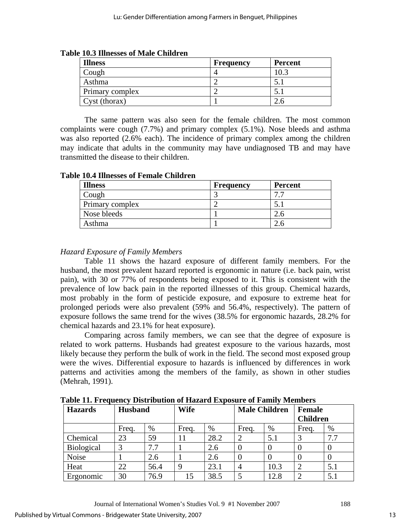| <b>Illness</b>  | Frequency | <b>Percent</b> |
|-----------------|-----------|----------------|
| Cough           |           |                |
| Asthma          |           |                |
| Primary complex |           |                |
| Cyst (thorax)   |           |                |

**Table 10.3 Illnesses of Male Children** 

 The same pattern was also seen for the female children. The most common complaints were cough (7.7%) and primary complex (5.1%). Nose bleeds and asthma was also reported (2.6% each). The incidence of primary complex among the children may indicate that adults in the community may have undiagnosed TB and may have transmitted the disease to their children.

**Table 10.4 Illnesses of Female Children** 

| <b>Illness</b>  | <b>Frequency</b> | <b>Percent</b> |
|-----------------|------------------|----------------|
| Cough           |                  | 77             |
| Primary complex |                  |                |
| Nose bleeds     |                  | $2.6^{\circ}$  |
| Asthma          |                  |                |

## *Hazard Exposure of Family Members*

Table 11 shows the hazard exposure of different family members. For the husband, the most prevalent hazard reported is ergonomic in nature (i.e. back pain, wrist pain), with 30 or 77% of respondents being exposed to it. This is consistent with the prevalence of low back pain in the reported illnesses of this group. Chemical hazards, most probably in the form of pesticide exposure, and exposure to extreme heat for prolonged periods were also prevalent (59% and 56.4%, respectively). The pattern of exposure follows the same trend for the wives (38.5% for ergonomic hazards, 28.2% for chemical hazards and 23.1% for heat exposure).

Comparing across family members, we can see that the degree of exposure is related to work patterns. Husbands had greatest exposure to the various hazards, most likely because they perform the bulk of work in the field. The second most exposed group were the wives. Differential exposure to hazards is influenced by differences in work patterns and activities among the members of the family, as shown in other studies (Mehrah, 1991).

| <b>Hazards</b>    | <b>Husband</b> |      | <b>Wife</b> |      |       | <b>Male Children</b> | Female<br><b>Children</b> |     |
|-------------------|----------------|------|-------------|------|-------|----------------------|---------------------------|-----|
|                   | Freq.          | %    | Freq.       | $\%$ | Freq. | %                    | Freq.                     | %   |
| Chemical          | 23             | 59   | 11          | 28.2 | 2     | 5.1                  |                           | 7.7 |
| <b>Biological</b> | 3              | 7.7  |             | 2.6  | 0     | O                    |                           |     |
| Noise             |                | 2.6  |             | 2.6  | 0     |                      |                           | U   |
| Heat              | 22             | 56.4 | 9           | 23.1 | 4     | 10.3                 |                           | 5.1 |
| Ergonomic         | 30             | 76.9 | 15          | 38.5 |       | 12.8                 |                           | 5.1 |

**Table 11. Frequency Distribution of Hazard Exposure of Family Members**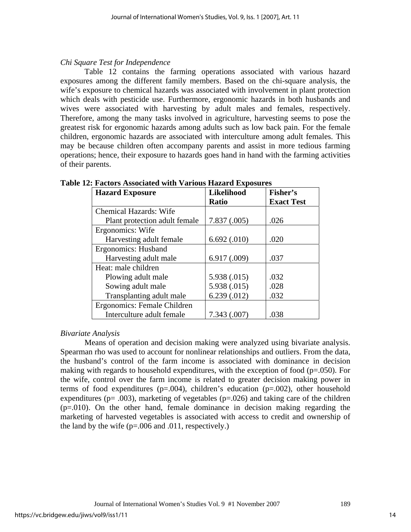## *Chi Square Test for Independence*

Table 12 contains the farming operations associated with various hazard exposures among the different family members. Based on the chi-square analysis, the wife's exposure to chemical hazards was associated with involvement in plant protection which deals with pesticide use. Furthermore, ergonomic hazards in both husbands and wives were associated with harvesting by adult males and females, respectively. Therefore, among the many tasks involved in agriculture, harvesting seems to pose the greatest risk for ergonomic hazards among adults such as low back pain. For the female children, ergonomic hazards are associated with interculture among adult females. This may be because children often accompany parents and assist in more tedious farming operations; hence, their exposure to hazards goes hand in hand with the farming activities of their parents.

| <b>Hazard Exposure</b>        | Likelihood   | Fisher's          |
|-------------------------------|--------------|-------------------|
|                               | <b>Ratio</b> | <b>Exact Test</b> |
| <b>Chemical Hazards: Wife</b> |              |                   |
| Plant protection adult female | 7.837(0.005) | .026              |
| Ergonomics: Wife              |              |                   |
| Harvesting adult female       | 6.692(.010)  | .020              |
| Ergonomics: Husband           |              |                   |
| Harvesting adult male         | 6.917(0.009) | .037              |
| Heat: male children           |              |                   |
| Plowing adult male            | 5.938 (.015) | .032              |
| Sowing adult male             | 5.938 (.015) | .028              |
| Transplanting adult male      | 6.239(.012)  | .032              |
| Ergonomics: Female Children   |              |                   |
| Interculture adult female     | 7.343(.007)  | .038              |

**Table 12: Factors Associated with Various Hazard Exposures** 

## *Bivariate Analysis*

 Means of operation and decision making were analyzed using bivariate analysis. Spearman rho was used to account for nonlinear relationships and outliers. From the data, the husband's control of the farm income is associated with dominance in decision making with regards to household expenditures, with the exception of food  $(p=.050)$ . For the wife, control over the farm income is related to greater decision making power in terms of food expenditures ( $p=.004$ ), children's education ( $p=.002$ ), other household expenditures ( $p = .003$ ), marketing of vegetables ( $p = .026$ ) and taking care of the children  $(p=010)$ . On the other hand, female dominance in decision making regarding the marketing of harvested vegetables is associated with access to credit and ownership of the land by the wife  $(p=.006$  and  $.011$ , respectively.)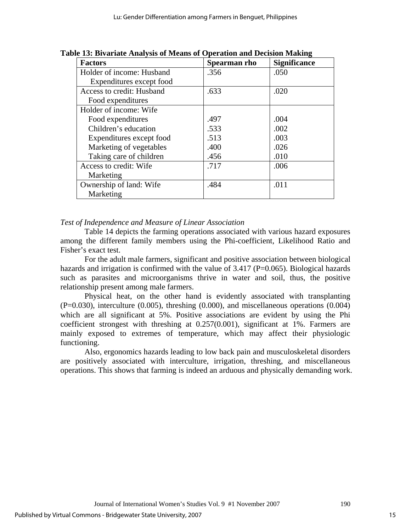| <b>Factors</b>            | Spearman rho | <b>Significance</b> |
|---------------------------|--------------|---------------------|
| Holder of income: Husband | .356         | .050                |
| Expenditures except food  |              |                     |
| Access to credit: Husband | .633         | .020                |
| Food expenditures         |              |                     |
| Holder of income: Wife    |              |                     |
| Food expenditures         | .497         | .004                |
| Children's education      | .533         | .002                |
| Expenditures except food  | .513         | .003                |
| Marketing of vegetables   | .400         | .026                |
| Taking care of children   | .456         | .010                |
| Access to credit: Wife    | .717         | .006                |
| Marketing                 |              |                     |
| Ownership of land: Wife   | .484         | .011                |
| Marketing                 |              |                     |

**Table 13: Bivariate Analysis of Means of Operation and Decision Making** 

#### *Test of Independence and Measure of Linear Association*

Table 14 depicts the farming operations associated with various hazard exposures among the different family members using the Phi-coefficient, Likelihood Ratio and Fisher's exact test.

For the adult male farmers, significant and positive association between biological hazards and irrigation is confirmed with the value of 3.417 (P=0.065). Biological hazards such as parasites and microorganisms thrive in water and soil, thus, the positive relationship present among male farmers.

Physical heat, on the other hand is evidently associated with transplanting  $(P=0.030)$ , interculture  $(0.005)$ , threshing  $(0.000)$ , and miscellaneous operations  $(0.004)$ which are all significant at 5%. Positive associations are evident by using the Phi coefficient strongest with threshing at 0.257(0.001), significant at 1%. Farmers are mainly exposed to extremes of temperature, which may affect their physiologic functioning.

Also, ergonomics hazards leading to low back pain and musculoskeletal disorders are positively associated with interculture, irrigation, threshing, and miscellaneous operations. This shows that farming is indeed an arduous and physically demanding work.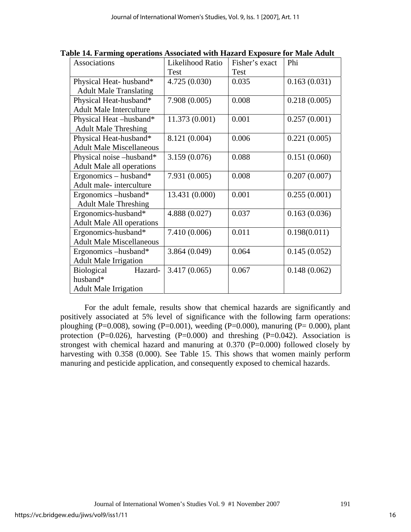| Associations                     | Likelihood Ratio | Fisher's exact | Phi          |  |
|----------------------------------|------------------|----------------|--------------|--|
|                                  | Test<br>Test     |                |              |  |
| Physical Heat-husband*           | 4.725 (0.030)    | 0.035          | 0.163(0.031) |  |
| <b>Adult Male Translating</b>    |                  |                |              |  |
| Physical Heat-husband*           | 7.908(0.005)     | 0.008          | 0.218(0.005) |  |
| <b>Adult Male Interculture</b>   |                  |                |              |  |
| Physical Heat-husband*           | 11.373 (0.001)   | 0.001          | 0.257(0.001) |  |
| <b>Adult Male Threshing</b>      |                  |                |              |  |
| Physical Heat-husband*           | 8.121 (0.004)    | 0.006          | 0.221(0.005) |  |
| <b>Adult Male Miscellaneous</b>  |                  |                |              |  |
| Physical noise –husband*         | 3.159(0.076)     | 0.088          | 0.151(0.060) |  |
| <b>Adult Male all operations</b> |                  |                |              |  |
| Ergonomics – husband*            | 7.931 (0.005)    | 0.008          | 0.207(0.007) |  |
| Adult male-interculture          |                  |                |              |  |
| Ergonomics –husband*             | 13.431 (0.000)   | 0.001          | 0.255(0.001) |  |
| <b>Adult Male Threshing</b>      |                  |                |              |  |
| Ergonomics-husband*              | 4.888 (0.027)    | 0.037          | 0.163(0.036) |  |
| <b>Adult Male All operations</b> |                  |                |              |  |
| Ergonomics-husband*              | 7.410 (0.006)    | 0.011          | 0.198(0.011) |  |
| <b>Adult Male Miscellaneous</b>  |                  |                |              |  |
| Ergonomics –husband*             | 3.864(0.049)     | 0.064          | 0.145(0.052) |  |
| <b>Adult Male Irrigation</b>     |                  |                |              |  |
| Hazard-<br><b>Biological</b>     | 3.417 (0.065)    | 0.067          | 0.148(0.062) |  |
| husband*                         |                  |                |              |  |
| <b>Adult Male Irrigation</b>     |                  |                |              |  |

**Table 14. Farming operations Associated with Hazard Exposure for Male Adult** 

 For the adult female, results show that chemical hazards are significantly and positively associated at 5% level of significance with the following farm operations: ploughing (P=0.008), sowing (P=0.001), weeding (P=0.000), manuring (P= 0.000), plant protection  $(P=0.026)$ , harvesting  $(P=0.000)$  and threshing  $(P=0.042)$ . Association is strongest with chemical hazard and manuring at  $0.370$  (P=0.000) followed closely by harvesting with 0.358 (0.000). See Table 15. This shows that women mainly perform manuring and pesticide application, and consequently exposed to chemical hazards.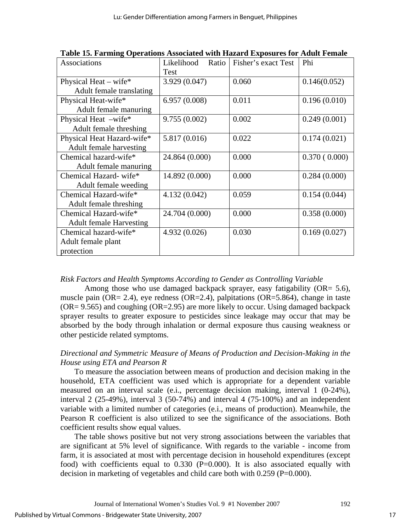| Associations                   | Likelihood<br>Ratio | Fisher's exact Test | Phi          |
|--------------------------------|---------------------|---------------------|--------------|
|                                | Test                |                     |              |
| Physical Heat – wife*          | 3.929 (0.047)       | 0.060               | 0.146(0.052) |
| Adult female translating       |                     |                     |              |
| Physical Heat-wife*            | 6.957(0.008)        | 0.011               | 0.196(0.010) |
| Adult female manuring          |                     |                     |              |
| Physical Heat -wife*           | 9.755(0.002)        | 0.002               | 0.249(0.001) |
| Adult female threshing         |                     |                     |              |
| Physical Heat Hazard-wife*     | 5.817 (0.016)       | 0.022               | 0.174(0.021) |
| Adult female harvesting        |                     |                     |              |
| Chemical hazard-wife*          | 24.864 (0.000)      | 0.000               | 0.370(0.000) |
| Adult female manuring          |                     |                     |              |
| Chemical Hazard-wife*          | 14.892 (0.000)      | 0.000               | 0.284(0.000) |
| Adult female weeding           |                     |                     |              |
| Chemical Hazard-wife*          | 4.132(0.042)        | 0.059               | 0.154(0.044) |
| Adult female threshing         |                     |                     |              |
| Chemical Hazard-wife*          | 24.704 (0.000)      | 0.000               | 0.358(0.000) |
| <b>Adult female Harvesting</b> |                     |                     |              |
| Chemical hazard-wife*          | 4.932 (0.026)       | 0.030               | 0.169(0.027) |
| Adult female plant             |                     |                     |              |
| protection                     |                     |                     |              |

**Table 15. Farming Operations Associated with Hazard Exposures for Adult Female** 

## *Risk Factors and Health Symptoms According to Gender as Controlling Variable*

Among those who use damaged backpack sprayer, easy fatigability (OR= 5.6), muscle pain (OR= 2.4), eye redness (OR=2.4), palpitations (OR=5.864), change in taste  $(OR = 9.565)$  and coughing  $(OR = 2.95)$  are more likely to occur. Using damaged backpack sprayer results to greater exposure to pesticides since leakage may occur that may be absorbed by the body through inhalation or dermal exposure thus causing weakness or other pesticide related symptoms.

## *Directional and Symmetric Measure of Means of Production and Decision-Making in the House using ETA and Pearson R*

To measure the association between means of production and decision making in the household, ETA coefficient was used which is appropriate for a dependent variable measured on an interval scale (e.i., percentage decision making, interval 1 (0-24%), interval 2 (25-49%), interval 3 (50-74%) and interval 4 (75-100%) and an independent variable with a limited number of categories (e.i., means of production). Meanwhile, the Pearson R coefficient is also utilized to see the significance of the associations. Both coefficient results show equal values.

The table shows positive but not very strong associations between the variables that are significant at 5% level of significance. With regards to the variable - income from farm, it is associated at most with percentage decision in household expenditures (except food) with coefficients equal to 0.330 (P=0.000). It is also associated equally with decision in marketing of vegetables and child care both with 0.259 (P=0.000).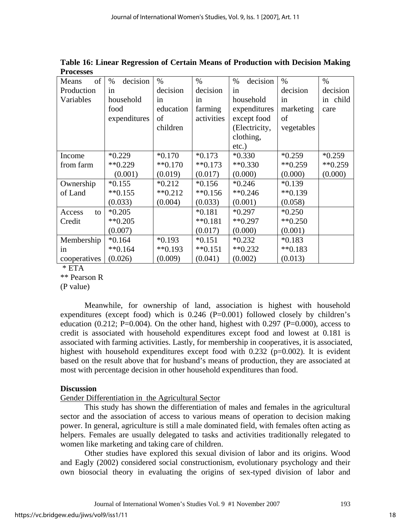| of<br>Means  | decision<br>%        | $\%$                 | $\%$                 | decision<br>$\%$     | $\%$                   | $\%$          |
|--------------|----------------------|----------------------|----------------------|----------------------|------------------------|---------------|
| Production   | in                   | decision             | decision             | in                   | decision               | decision      |
| Variables    | household            | in                   | in                   | household            | in                     | in child      |
|              | food                 | education            | farming              | expenditures         | marketing              | care          |
|              | expenditures         | of                   | activities           | except food          | of                     |               |
|              |                      | children             |                      | (Electricity,        | vegetables             |               |
|              |                      |                      |                      | clothing,            |                        |               |
|              |                      |                      |                      | $etc.$ )             |                        |               |
| Income       | $*0.229$             | $*0.170$             | $*0.173$             | $*0.330$             | $*0.259$               | $*0.259$      |
| from farm    | $*$ <sup>0.229</sup> | $*$ <sup>0.170</sup> | $**0.173$            | $*$ $*$ 0.330        | $*$ $*$ 0.259          | $*$ $*$ 0.259 |
|              | (0.001)              | (0.019)              | (0.017)              | (0.000)              | (0.000)                | (0.000)       |
| Ownership    | $*0.155$             | $*0.212$             | $*0.156$             | $*0.246$             | $*0.139$               |               |
| of Land      | $*$ <sup>0.155</sup> | $*$ <sup>0.212</sup> | $*$ <sup>0.156</sup> | $*$ <sup>0.246</sup> | $*$ <sup>6</sup> 0.139 |               |
|              | (0.033)              | (0.004)              | (0.033)              | (0.001)              | (0.058)                |               |
| Access<br>to | $*0.205$             |                      | $*0.181$             | $*0.297$             | $*0.250$               |               |
| Credit       | $*$ <sup>0.205</sup> |                      | $**0.181$            | $**0.297$            | $*$ <sup>0.250</sup>   |               |
|              | (0.007)              |                      | (0.017)              | (0.000)              | (0.001)                |               |
| Membership   | $*0.164$             | $*0.193$             | $*0.151$             | $*0.232$             | $*0.183$               |               |
| in           | $*$ $*0.164$         | $**0.193$            | $**0.151$            | $*$ $*$ 0.232        | $**0.183$              |               |
| cooperatives | (0.026)              | (0.009)              | (0.041)              | (0.002)              | (0.013)                |               |

**Table 16: Linear Regression of Certain Means of Production with Decision Making Processes** 

 $*$  ETA

\*\* Pearson R

(P value)

Meanwhile, for ownership of land, association is highest with household expenditures (except food) which is  $0.246$  (P=0.001) followed closely by children's education  $(0.212; P=0.004)$ . On the other hand, highest with  $0.297$  (P=0.000), access to credit is associated with household expenditures except food and lowest at 0.181 is associated with farming activities. Lastly, for membership in cooperatives, it is associated, highest with household expenditures except food with  $0.232$  ( $p=0.002$ ). It is evident based on the result above that for husband's means of production, they are associated at most with percentage decision in other household expenditures than food.

## **Discussion**

Gender Differentiation in the Agricultural Sector

This study has shown the differentiation of males and females in the agricultural sector and the association of access to various means of operation to decision making power. In general, agriculture is still a male dominated field, with females often acting as helpers. Females are usually delegated to tasks and activities traditionally relegated to women like marketing and taking care of children.

Other studies have explored this sexual division of labor and its origins. Wood and Eagly (2002) considered social constructionism, evolutionary psychology and their own biosocial theory in evaluating the origins of sex-typed division of labor and

Journal of International Women's Studies Vol. 9 #1 November 2007 193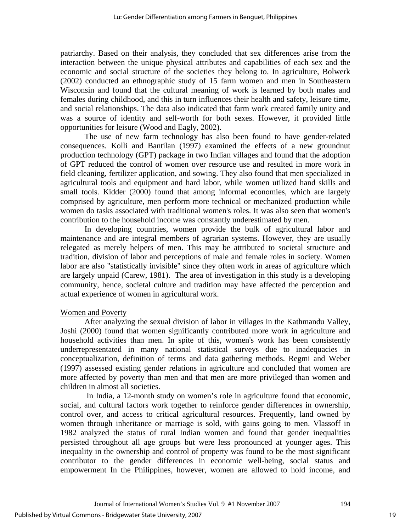patriarchy. Based on their analysis, they concluded that sex differences arise from the interaction between the unique physical attributes and capabilities of each sex and the economic and social structure of the societies they belong to. In agriculture, Bolwerk (2002) conducted an ethnographic study of 15 farm women and men in Southeastern Wisconsin and found that the cultural meaning of work is learned by both males and females during childhood, and this in turn influences their health and safety, leisure time, and social relationships. The data also indicated that farm work created family unity and was a source of identity and self-worth for both sexes. However, it provided little opportunities for leisure (Wood and Eagly, 2002).

The use of new farm technology has also been found to have gender-related consequences. Kolli and Bantilan (1997) examined the effects of a new groundnut production technology (GPT) package in two Indian villages and found that the adoption of GPT reduced the control of women over resource use and resulted in more work in field cleaning, fertilizer application, and sowing. They also found that men specialized in agricultural tools and equipment and hard labor, while women utilized hand skills and small tools. Kidder (2000) found that among informal economies, which are largely comprised by agriculture, men perform more technical or mechanized production while women do tasks associated with traditional women's roles. It was also seen that women's contribution to the household income was constantly underestimated by men.

In developing countries, women provide the bulk of agricultural labor and maintenance and are integral members of agrarian systems. However, they are usually relegated as merely helpers of men. This may be attributed to societal structure and tradition, division of labor and perceptions of male and female roles in society. Women labor are also "statistically invisible" since they often work in areas of agriculture which are largely unpaid (Carew, 1981). The area of investigation in this study is a developing community, hence, societal culture and tradition may have affected the perception and actual experience of women in agricultural work.

## Women and Poverty

After analyzing the sexual division of labor in villages in the Kathmandu Valley, Joshi (2000) found that women significantly contributed more work in agriculture and household activities than men. In spite of this, women's work has been consistently underrepresentated in many national statistical surveys due to inadequacies in conceptualization, definition of terms and data gathering methods. Regmi and Weber (1997) assessed existing gender relations in agriculture and concluded that women are more affected by poverty than men and that men are more privileged than women and children in almost all societies.

 In India, a 12-month study on women's role in agriculture found that economic, social, and cultural factors work together to reinforce gender differences in ownership, control over, and access to critical agricultural resources. Frequently, land owned by women through inheritance or marriage is sold, with gains going to men. Vlassoff in 1982 analyzed the status of rural Indian women and found that gender inequalities persisted throughout all age groups but were less pronounced at younger ages. This inequality in the ownership and control of property was found to be the most significant contributor to the gender differences in economic well-being, social status and empowerment In the Philippines, however, women are allowed to hold income, and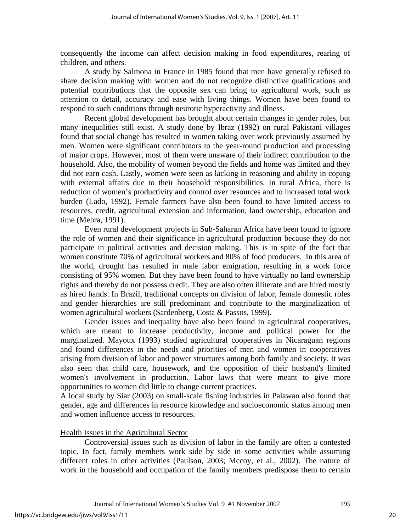consequently the income can affect decision making in food expenditures, rearing of children, and others.

A study by Salmona in France in 1985 found that men have generally refused to share decision making with women and do not recognize distinctive qualifications and potential contributions that the opposite sex can bring to agricultural work, such as attention to detail, accuracy and ease with living things. Women have been found to respond to such conditions through neurotic hyperactivity and illness.

 Recent global development has brought about certain changes in gender roles, but many inequalities still exist. A study done by Ibraz (1992) on rural Pakistani villages found that social change has resulted in women taking over work previously assumed by men. Women were significant contributors to the year-round production and processing of major crops. However, most of them were unaware of their indirect contribution to the household. Also, the mobility of women beyond the fields and home was limited and they did not earn cash. Lastly, women were seen as lacking in reasoning and ability in coping with external affairs due to their household responsibilities. In rural Africa, there is reduction of women's productivity and control over resources and to increased total work burden (Lado, 1992). Female farmers have also been found to have limited access to resources, credit, agricultural extension and information, land ownership, education and time (Mehra, 1991).

Even rural development projects in Sub-Saharan Africa have been found to ignore the role of women and their significance in agricultural production because they do not participate in political activities and decision making. This is in spite of the fact that women constitute 70% of agricultural workers and 80% of food producers. In this area of the world, drought has resulted in male labor emigration, resulting in a work force consisting of 95% women. But they have been found to have virtually no land ownership rights and thereby do not possess credit. They are also often illiterate and are hired mostly as hired hands. In Brazil, traditional concepts on division of labor, female domestic roles and gender hierarchies are still predominant and contribute to the marginalization of women agricultural workers (Sardenberg, Costa & Passos, 1999).

Gender issues and inequality have also been found in agricultural cooperatives, which are meant to increase productivity, income and political power for the marginalized. Mayoux (1993) studied agricultural cooperatives in Nicaraguan regions and found differences in the needs and priorities of men and women in cooperatives arising from division of labor and power structures among both family and society. It was also seen that child care, housework, and the opposition of their husband's limited women's involvement in production. Labor laws that were meant to give more opportunities to women did little to change current practices.

A local study by Siar (2003) on small-scale fishing industries in Palawan also found that gender, age and differences in resource knowledge and socioeconomic status among men and women influence access to resources.

## Health Issues in the Agricultural Sector

Controversial issues such as division of labor in the family are often a contested topic. In fact, family members work side by side in some activities while assuming different roles in other activities (Paulson, 2003; Mccoy, et al., 2002). The nature of work in the household and occupation of the family members predispose them to certain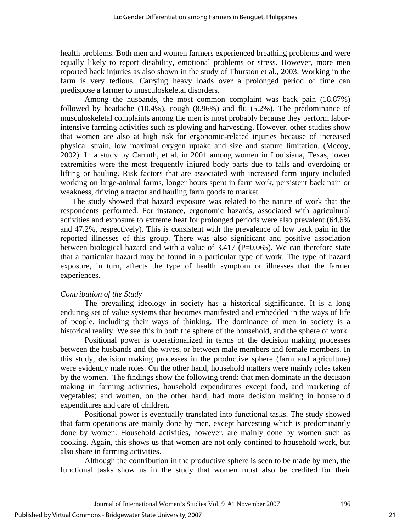health problems. Both men and women farmers experienced breathing problems and were equally likely to report disability, emotional problems or stress. However, more men reported back injuries as also shown in the study of Thurston et al., 2003. Working in the farm is very tedious. Carrying heavy loads over a prolonged period of time can predispose a farmer to musculoskeletal disorders.

Among the husbands, the most common complaint was back pain (18.87%) followed by headache (10.4%), cough (8.96%) and flu (5.2%). The predominance of musculoskeletal complaints among the men is most probably because they perform laborintensive farming activities such as plowing and harvesting. However, other studies show that women are also at high risk for ergonomic-related injuries because of increased physical strain, low maximal oxygen uptake and size and stature limitation. (Mccoy, 2002). In a study by Carruth, et al. in 2001 among women in Louisiana, Texas, lower extremities were the most frequently injured body parts due to falls and overdoing or lifting or hauling. Risk factors that are associated with increased farm injury included working on large-animal farms, longer hours spent in farm work, persistent back pain or weakness, driving a tractor and hauling farm goods to market.

The study showed that hazard exposure was related to the nature of work that the respondents performed. For instance, ergonomic hazards, associated with agricultural activities and exposure to extreme heat for prolonged periods were also prevalent (64.6% and 47.2%, respectively). This is consistent with the prevalence of low back pain in the reported illnesses of this group. There was also significant and positive association between biological hazard and with a value of  $3.417$  (P=0.065). We can therefore state that a particular hazard may be found in a particular type of work. The type of hazard exposure, in turn, affects the type of health symptom or illnesses that the farmer experiences.

#### *Contribution of the Study*

 The prevailing ideology in society has a historical significance. It is a long enduring set of value systems that becomes manifested and embedded in the ways of life of people, including their ways of thinking. The dominance of men in society is a historical reality. We see this in both the sphere of the household, and the sphere of work.

Positional power is operationalized in terms of the decision making processes between the husbands and the wives, or between male members and female members. In this study, decision making processes in the productive sphere (farm and agriculture) were evidently male roles. On the other hand, household matters were mainly roles taken by the women. The findings show the following trend: that men dominate in the decision making in farming activities, household expenditures except food, and marketing of vegetables; and women, on the other hand, had more decision making in household expenditures and care of children.

Positional power is eventually translated into functional tasks. The study showed that farm operations are mainly done by men, except harvesting which is predominantly done by women. Household activities, however, are mainly done by women such as cooking. Again, this shows us that women are not only confined to household work, but also share in farming activities.

 Although the contribution in the productive sphere is seen to be made by men, the functional tasks show us in the study that women must also be credited for their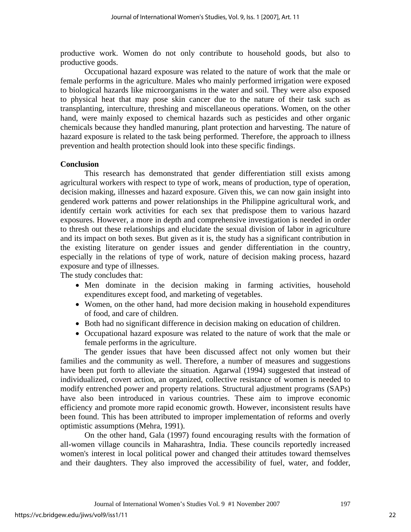productive work. Women do not only contribute to household goods, but also to productive goods.

Occupational hazard exposure was related to the nature of work that the male or female performs in the agriculture. Males who mainly performed irrigation were exposed to biological hazards like microorganisms in the water and soil. They were also exposed to physical heat that may pose skin cancer due to the nature of their task such as transplanting, interculture, threshing and miscellaneous operations. Women, on the other hand, were mainly exposed to chemical hazards such as pesticides and other organic chemicals because they handled manuring, plant protection and harvesting. The nature of hazard exposure is related to the task being performed. Therefore, the approach to illness prevention and health protection should look into these specific findings.

#### **Conclusion**

This research has demonstrated that gender differentiation still exists among agricultural workers with respect to type of work, means of production, type of operation, decision making, illnesses and hazard exposure. Given this, we can now gain insight into gendered work patterns and power relationships in the Philippine agricultural work, and identify certain work activities for each sex that predispose them to various hazard exposures. However, a more in depth and comprehensive investigation is needed in order to thresh out these relationships and elucidate the sexual division of labor in agriculture and its impact on both sexes. But given as it is, the study has a significant contribution in the existing literature on gender issues and gender differentiation in the country, especially in the relations of type of work, nature of decision making process, hazard exposure and type of illnesses.

The study concludes that:

- Men dominate in the decision making in farming activities, household expenditures except food, and marketing of vegetables.
- Women, on the other hand, had more decision making in household expenditures of food, and care of children.
- Both had no significant difference in decision making on education of children.
- Occupational hazard exposure was related to the nature of work that the male or female performs in the agriculture.

The gender issues that have been discussed affect not only women but their families and the community as well. Therefore, a number of measures and suggestions have been put forth to alleviate the situation. Agarwal (1994) suggested that instead of individualized, covert action, an organized, collective resistance of women is needed to modify entrenched power and property relations. Structural adjustment programs (SAPs) have also been introduced in various countries. These aim to improve economic efficiency and promote more rapid economic growth. However, inconsistent results have been found. This has been attributed to improper implementation of reforms and overly optimistic assumptions (Mehra, 1991).

On the other hand, Gala (1997) found encouraging results with the formation of all-women village councils in Maharashtra, India. These councils reportedly increased women's interest in local political power and changed their attitudes toward themselves and their daughters. They also improved the accessibility of fuel, water, and fodder,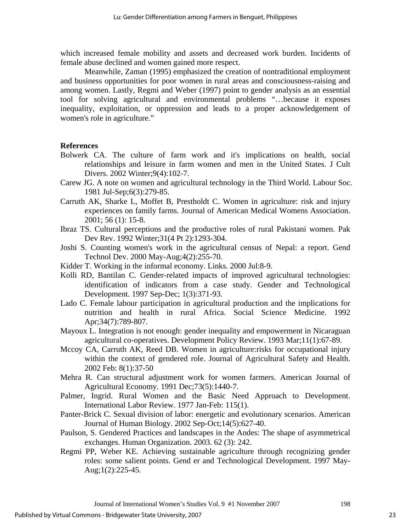which increased female mobility and assets and decreased work burden. Incidents of female abuse declined and women gained more respect.

Meanwhile, Zaman (1995) emphasized the creation of nontraditional employment and business opportunities for poor women in rural areas and consciousness-raising and among women. Lastly, Regmi and Weber (1997) point to gender analysis as an essential tool for solving agricultural and environmental problems "…because it exposes inequality, exploitation, or oppression and leads to a proper acknowledgement of women's role in agriculture."

## **References**

- Bolwerk CA. The culture of farm work and it's implications on health, social relationships and leisure in farm women and men in the United States. J Cult Divers. 2002 Winter;9(4):102-7.
- Carew JG. A note on women and agricultural technology in the Third World. Labour Soc. 1981 Jul-Sep;6(3):279-85.
- Carruth AK, Sharke L, Moffet B, Prestholdt C. Women in agriculture: risk and injury experiences on family farms. Journal of American Medical Womens Association. 2001; 56 (1): 15-8.
- Ibraz TS. Cultural perceptions and the productive roles of rural Pakistani women. Pak Dev Rev. 1992 Winter;31(4 Pt 2):1293-304.
- Joshi S. Counting women's work in the agricultural census of Nepal: a report. Gend Technol Dev. 2000 May-Aug;4(2):255-70.
- Kidder T. Working in the informal economy. Links. 2000 Jul:8-9.
- Kolli RD, Bantilan C. Gender-related impacts of improved agricultural technologies: identification of indicators from a case study. Gender and Technological Development. 1997 Sep-Dec; 1(3):371-93.
- Lado C. Female labour participation in agricultural production and the implications for nutrition and health in rural Africa. Social Science Medicine. 1992 Apr;34(7):789-807.
- Mayoux L. Integration is not enough: gender inequality and empowerment in Nicaraguan agricultural co-operatives. Development Policy Review. 1993 Mar;11(1):67-89.
- Mccoy CA, Carruth AK, Reed DB. Women in agriculture:risks for occupational injury within the context of gendered role. Journal of Agricultural Safety and Health. 2002 Feb: 8(1):37-50
- Mehra R. Can structural adjustment work for women farmers. American Journal of Agricultural Economy. 1991 Dec;73(5):1440-7.
- Palmer, Ingrid. Rural Women and the Basic Need Approach to Development. International Labor Review. 1977 Jan-Feb: 115(1).
- Panter-Brick C. Sexual division of labor: energetic and evolutionary scenarios. American Journal of Human Biology. 2002 Sep-Oct;14(5):627-40.
- Paulson, S. Gendered Practices and landscapes in the Andes: The shape of asymmetrical exchanges. Human Organization. 2003. 62 (3): 242.
- Regmi PP, Weber KE. Achieving sustainable agriculture through recognizing gender roles: some salient points. Gend er and Technological Development. 1997 May-Aug;1(2):225-45.